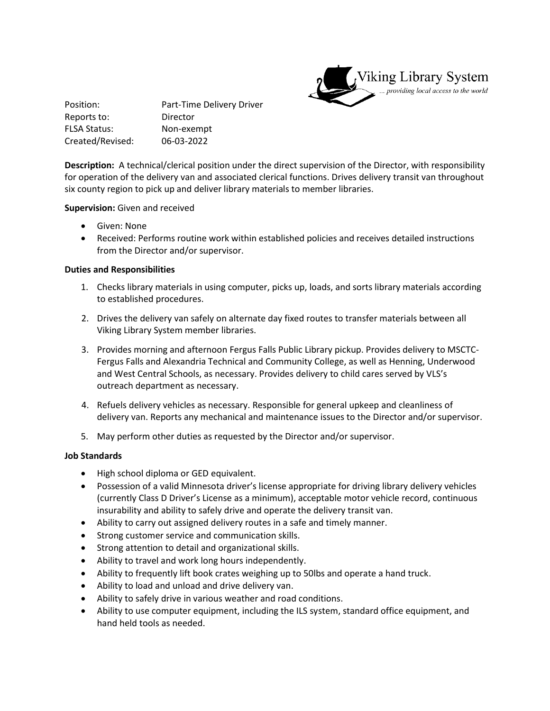

Position: Part-Time Delivery Driver Reports to: Director FLSA Status: Non-exempt Created/Revised: 06-03-2022

**Description:** A technical/clerical position under the direct supervision of the Director, with responsibility for operation of the delivery van and associated clerical functions. Drives delivery transit van throughout six county region to pick up and deliver library materials to member libraries.

## **Supervision:** Given and received

- Given: None
- Received: Performs routine work within established policies and receives detailed instructions from the Director and/or supervisor.

## **Duties and Responsibilities**

- 1. Checks library materials in using computer, picks up, loads, and sorts library materials according to established procedures.
- 2. Drives the delivery van safely on alternate day fixed routes to transfer materials between all Viking Library System member libraries.
- 3. Provides morning and afternoon Fergus Falls Public Library pickup. Provides delivery to MSCTC-Fergus Falls and Alexandria Technical and Community College, as well as Henning, Underwood and West Central Schools, as necessary. Provides delivery to child cares served by VLS's outreach department as necessary.
- 4. Refuels delivery vehicles as necessary. Responsible for general upkeep and cleanliness of delivery van. Reports any mechanical and maintenance issues to the Director and/or supervisor.
- 5. May perform other duties as requested by the Director and/or supervisor.

#### **Job Standards**

- High school diploma or GED equivalent.
- Possession of a valid Minnesota driver's license appropriate for driving library delivery vehicles (currently Class D Driver's License as a minimum), acceptable motor vehicle record, continuous insurability and ability to safely drive and operate the delivery transit van.
- Ability to carry out assigned delivery routes in a safe and timely manner.
- Strong customer service and communication skills.
- **•** Strong attention to detail and organizational skills.
- Ability to travel and work long hours independently.
- Ability to frequently lift book crates weighing up to 50lbs and operate a hand truck.
- Ability to load and unload and drive delivery van.
- Ability to safely drive in various weather and road conditions.
- Ability to use computer equipment, including the ILS system, standard office equipment, and hand held tools as needed.